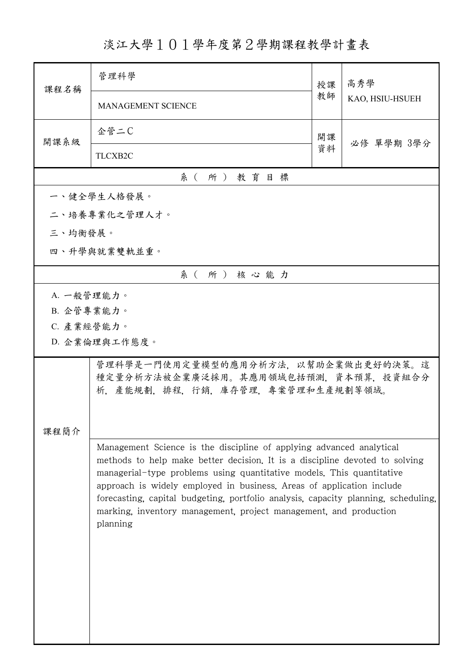淡江大學101學年度第2學期課程教學計畫表

| 課程名稱       | 管理科學                                                                                                                                                                                                                                                                                                                                                                                                                                                                         | 授課 | 高秀學<br>KAO, HSIU-HSUEH |  |
|------------|------------------------------------------------------------------------------------------------------------------------------------------------------------------------------------------------------------------------------------------------------------------------------------------------------------------------------------------------------------------------------------------------------------------------------------------------------------------------------|----|------------------------|--|
|            | <b>MANAGEMENT SCIENCE</b>                                                                                                                                                                                                                                                                                                                                                                                                                                                    | 教師 |                        |  |
| 開課系級       | 企管二C                                                                                                                                                                                                                                                                                                                                                                                                                                                                         | 開課 | 必修 單學期 3學分             |  |
|            | TLCXB2C                                                                                                                                                                                                                                                                                                                                                                                                                                                                      | 資料 |                        |  |
| 系(所)教育目標   |                                                                                                                                                                                                                                                                                                                                                                                                                                                                              |    |                        |  |
|            | 一、健全學生人格發展。                                                                                                                                                                                                                                                                                                                                                                                                                                                                  |    |                        |  |
|            | 二、培養專業化之管理人才。                                                                                                                                                                                                                                                                                                                                                                                                                                                                |    |                        |  |
| 三、均衡發展。    |                                                                                                                                                                                                                                                                                                                                                                                                                                                                              |    |                        |  |
|            | 四、升學與就業雙軌並重。                                                                                                                                                                                                                                                                                                                                                                                                                                                                 |    |                        |  |
|            | 系(所)核心能力                                                                                                                                                                                                                                                                                                                                                                                                                                                                     |    |                        |  |
| A. 一般管理能力。 |                                                                                                                                                                                                                                                                                                                                                                                                                                                                              |    |                        |  |
| B. 企管專業能力。 |                                                                                                                                                                                                                                                                                                                                                                                                                                                                              |    |                        |  |
|            | C. 產業經營能力。                                                                                                                                                                                                                                                                                                                                                                                                                                                                   |    |                        |  |
|            | D. 企業倫理與工作態度。                                                                                                                                                                                                                                                                                                                                                                                                                                                                |    |                        |  |
| 课程簡介       | 管理科學是一門使用定量模型的應用分析方法,以幫助企業做出更好的決策。這<br>種定量分析方法被企業廣泛採用。其應用領域包括預測,資本預算,投資組合分<br>析,產能規劃,排程,行銷,庫存管理,專案管理和生產規劃等領域。                                                                                                                                                                                                                                                                                                                                                                |    |                        |  |
|            | Management Science is the discipline of applying advanced analytical<br>methods to help make better decision. It is a discipline devoted to solving<br>managerial-type problems using quantitative models. This quantitative<br>approach is widely employed in business. Areas of application include<br>forecasting, capital budgeting, portfolio analysis, capacity planning, scheduling,<br>marking, inventory management, project management, and production<br>planning |    |                        |  |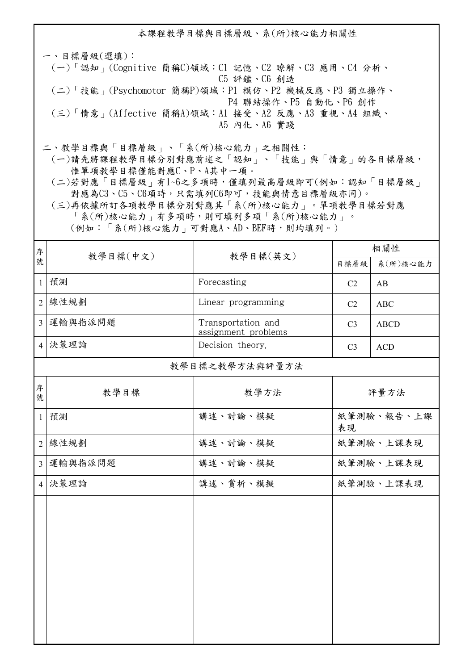本課程教學目標與目標層級、系(所)核心能力相關性 一、目標層級(選填): (一)「認知」(Cognitive 簡稱C)領域:C1 記憶、C2 瞭解、C3 應用、C4 分析、 C5 評鑑、C6 創造 (二)「技能」(Psychomotor 簡稱P)領域:P1 模仿、P2 機械反應、P3 獨立操作、 P4 聯結操作、P5 自動化、P6 創作 (三)「情意」(Affective 簡稱A)領域:A1 接受、A2 反應、A3 重視、A4 組織、 A5 內化、A6 實踐

二、教學目標與「目標層級」、「系(所)核心能力」之相關性:

 (一)請先將課程教學目標分別對應前述之「認知」、「技能」與「情意」的各目標層級, 惟單項教學目標僅能對應C、P、A其中一項。

 (二)若對應「目標層級」有1~6之多項時,僅填列最高層級即可(例如:認知「目標層級」 對應為C3、C5、C6項時,只需填列C6即可,技能與情意目標層級亦同)。

 (三)再依據所訂各項教學目標分別對應其「系(所)核心能力」。單項教學目標若對應 「系(所)核心能力」有多項時,則可填列多項「系(所)核心能力」。 (例如:「系(所)核心能力」可對應A、AD、BEF時,則均填列。)

| 序              |                | 教學目標(英文)                                  | 相關性                  |             |  |  |
|----------------|----------------|-------------------------------------------|----------------------|-------------|--|--|
| 號              | 教學目標(中文)       |                                           | 目標層級                 | 系(所)核心能力    |  |  |
| $\mathbf{1}$   | 預測             | Forecasting                               | C <sub>2</sub><br>AB |             |  |  |
| $\overline{2}$ | 線性規劃           | Linear programming                        | C2                   | <b>ABC</b>  |  |  |
| $\overline{3}$ | 運輸與指派問題        | Transportation and<br>assignment problems | C <sub>3</sub>       | <b>ABCD</b> |  |  |
|                | 4 决策理論         | Decision theory.                          | C <sub>3</sub>       | <b>ACD</b>  |  |  |
|                | 教學目標之教學方法與評量方法 |                                           |                      |             |  |  |
| 序<br>號         | 教學目標           | 教學方法                                      |                      | 評量方法        |  |  |
| $\mathbf{1}$   | 預測             | 講述、討論、模擬                                  | 紙筆測驗、報告、上課<br>表現     |             |  |  |
| $\overline{2}$ | 線性規劃           | 講述、討論、模擬                                  |                      | 紙筆測驗、上課表現   |  |  |
| $\overline{3}$ | 運輸與指派問題        | 講述、討論、模擬                                  |                      | 紙筆測驗、上課表現   |  |  |
| $\vert$ 4      | 決策理論           | 講述、賞析、模擬                                  |                      | 紙筆測驗、上課表現   |  |  |
|                |                |                                           |                      |             |  |  |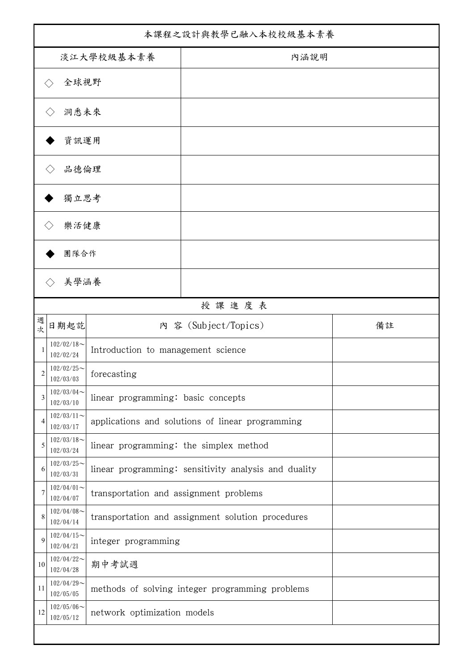| 本課程之設計與教學已融入本校校級基本素養 |                            |                                        |                                                      |    |
|----------------------|----------------------------|----------------------------------------|------------------------------------------------------|----|
| 淡江大學校級基本素養           |                            |                                        | 內涵說明                                                 |    |
|                      | 全球視野                       |                                        |                                                      |    |
| 洞悉未來                 |                            |                                        |                                                      |    |
|                      | 資訊運用                       |                                        |                                                      |    |
|                      | 品德倫理                       |                                        |                                                      |    |
| 獨立思考                 |                            |                                        |                                                      |    |
|                      | 樂活健康                       |                                        |                                                      |    |
|                      | 團隊合作                       |                                        |                                                      |    |
|                      | 美學涵養                       |                                        |                                                      |    |
|                      |                            |                                        | 授課進度表                                                |    |
| 週<br>次               | 日期起訖                       |                                        | 內 容 (Subject/Topics)                                 | 備註 |
|                      | $102/02/18$ ~<br>102/02/24 | Introduction to management science     |                                                      |    |
| 2                    | $102/02/25$ ~<br>102/03/03 | forecasting                            |                                                      |    |
| 3                    | $102/03/04$ ~<br>102/03/10 | linear programming: basic concepts     |                                                      |    |
| $\overline{4}$       | $102/03/11$ ~<br>102/03/17 |                                        | applications and solutions of linear programming     |    |
| 5                    | $102/03/18$ ~<br>102/03/24 | linear programming: the simplex method |                                                      |    |
| 6                    | $102/03/25$ ~<br>102/03/31 |                                        | linear programming: sensitivity analysis and duality |    |
| 7                    | $102/04/01$ ~<br>102/04/07 | transportation and assignment problems |                                                      |    |
| 8                    | $102/04/08$ ~<br>102/04/14 |                                        | transportation and assignment solution procedures    |    |
| 9                    | $102/04/15$ ~<br>102/04/21 | integer programming                    |                                                      |    |
| 10                   | $102/04/22$ ~<br>102/04/28 | 期中考試週                                  |                                                      |    |
| 11                   | $102/04/29$ ~<br>102/05/05 |                                        | methods of solving integer programming problems      |    |
| 12                   | $102/05/06$ ~<br>102/05/12 | network optimization models            |                                                      |    |
|                      |                            |                                        |                                                      |    |